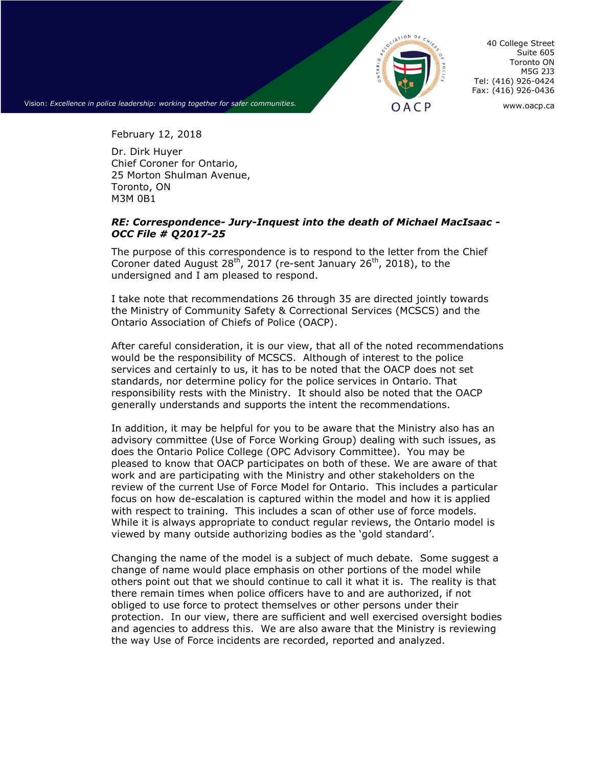

Suite 605 Toronto ON M5G 2J3 Tel: (416) 926-0424 Fax: (416) 926-0436

40 College Street

Vision: *Excellence in police leadership: working together for safer communities.* **OACP** WWW.oacp.ca

February 12, 2018

Dr. Dirk Huyer Chief Coroner for Ontario, 25 Morton Shulman Avenue, Toronto, ON M3M 0B1

## *RE: Correspondence- Jury-Inquest into the death of Michael MacIsaac - OCC File # Q2017-25*

The purpose of this correspondence is to respond to the letter from the Chief Coroner dated August  $28^{th}$ , 2017 (re-sent January  $26^{th}$ , 2018), to the undersigned and I am pleased to respond.

I take note that recommendations 26 through 35 are directed jointly towards the Ministry of Community Safety & Correctional Services (MCSCS) and the Ontario Association of Chiefs of Police (OACP).

After careful consideration, it is our view, that all of the noted recommendations would be the responsibility of MCSCS. Although of interest to the police services and certainly to us, it has to be noted that the OACP does not set standards, nor determine policy for the police services in Ontario. That responsibility rests with the Ministry. It should also be noted that the OACP generally understands and supports the intent the recommendations.

In addition, it may be helpful for you to be aware that the Ministry also has an advisory committee (Use of Force Working Group) dealing with such issues, as does the Ontario Police College (OPC Advisory Committee). You may be pleased to know that OACP participates on both of these. We are aware of that work and are participating with the Ministry and other stakeholders on the review of the current Use of Force Model for Ontario. This includes a particular focus on how de-escalation is captured within the model and how it is applied with respect to training. This includes a scan of other use of force models. While it is always appropriate to conduct regular reviews, the Ontario model is viewed by many outside authorizing bodies as the 'gold standard'.

Changing the name of the model is a subject of much debate. Some suggest a change of name would place emphasis on other portions of the model while others point out that we should continue to call it what it is. The reality is that there remain times when police officers have to and are authorized, if not obliged to use force to protect themselves or other persons under their protection. In our view, there are sufficient and well exercised oversight bodies and agencies to address this. We are also aware that the Ministry is reviewing the way Use of Force incidents are recorded, reported and analyzed.